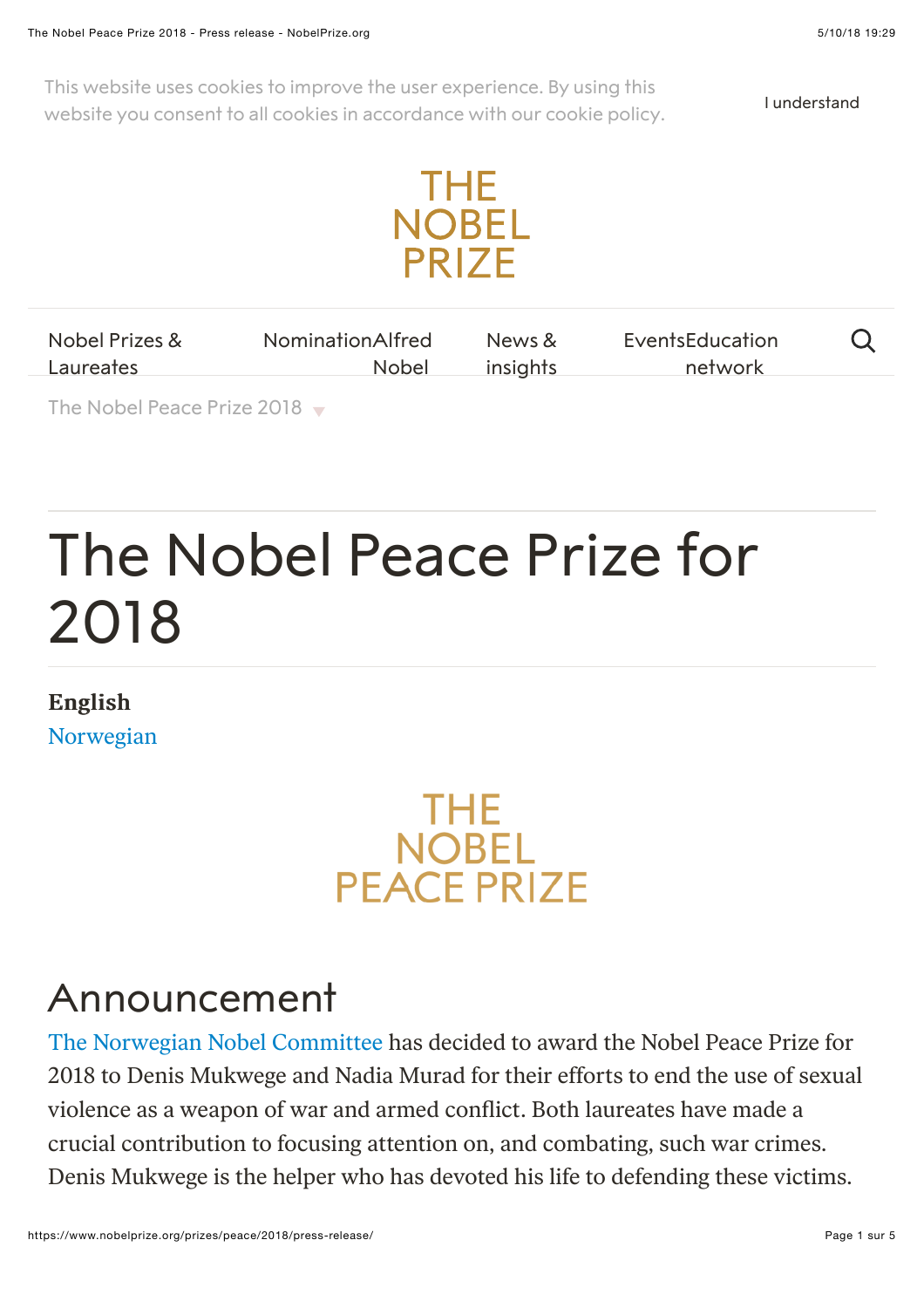This website uses cookies to improve the user experience. By using this website you consent to all cookies in accordance with our [cookie policy](https://www.nobelprize.org/about/privacy-policy/).

<span id="page-0-0"></span>

| Nobel Prizes & | NominationAlfred | News &   | EventsEducation |  |
|----------------|------------------|----------|-----------------|--|
| Laureates      | Nobel            | insights | network         |  |

The Nobel Peace Prize 2018

# The Nobel Peace Prize for 2018

# English English

[Norwegian](https://www.nobelprize.org/prizes/peace/2018/53341-nobels-fredspris-for-2018/)

THE. **NOBEL PFACE PRIZE** 

## Announcement

[The Norwegian Nobel Committee](http://nobelpeaceprize.org/) has decided to award the Nobel Peace Prize for 2018 to Denis Mukwege and Nadia Murad for their efforts to end the use of sexual violence as a weapon of war and armed conflict. Both laureates have made a crucial contribution to focusing attention on, and combating, such war crimes. Denis Mukwege is the helper who has devoted his life to defending these victims.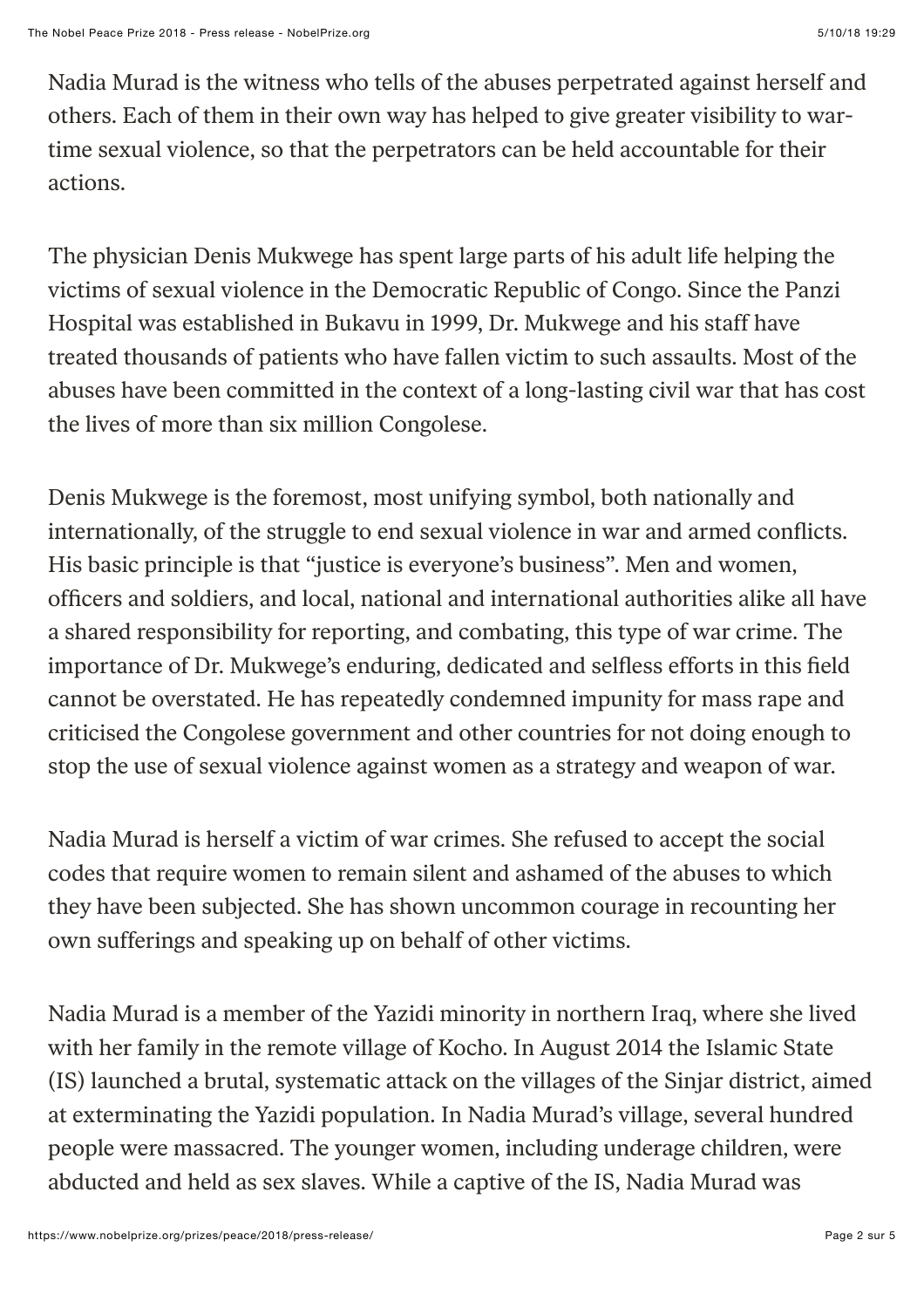Nadia Murad is the witness who tells of the abuses perpetrated against herself and others. Each of them in their own way has helped to give greater visibility to wartime sexual violence, so that the perpetrators can be held accountable for their actions.

The physician Denis Mukwege has spent large parts of his adult life helping the victims of sexual violence in the Democratic Republic of Congo. Since the Panzi Hospital was established in Bukavu in 1999, Dr. Mukwege and his staff have treated thousands of patients who have fallen victim to such assaults. Most of the abuses have been committed in the context of a long-lasting civil war that has cost the lives of more than six million Congolese.

Denis Mukwege is the foremost, most unifying symbol, both nationally and internationally, of the struggle to end sexual violence in war and armed conflicts. His basic principle is that "justice is everyone's business". Men and women, officers and soldiers, and local, national and international authorities alike all have a shared responsibility for reporting, and combating, this type of war crime. The importance of Dr. Mukwege's enduring, dedicated and selfless efforts in this field cannot be overstated. He has repeatedly condemned impunity for mass rape and criticised the Congolese government and other countries for not doing enough to stop the use of sexual violence against women as a strategy and weapon of war.

Nadia Murad is herself a victim of war crimes. She refused to accept the social codes that require women to remain silent and ashamed of the abuses to which they have been subjected. She has shown uncommon courage in recounting her own sufferings and speaking up on behalf of other victims.

Nadia Murad is a member of the Yazidi minority in northern Iraq, where she lived with her family in the remote village of Kocho. In August 2014 the Islamic State (IS) launched a brutal, systematic attack on the villages of the Sinjar district, aimed at exterminating the Yazidi population. In Nadia Murad's village, several hundred people were massacred. The younger women, including underage children, were abducted and held as sex slaves. While a captive of the IS, Nadia Murad was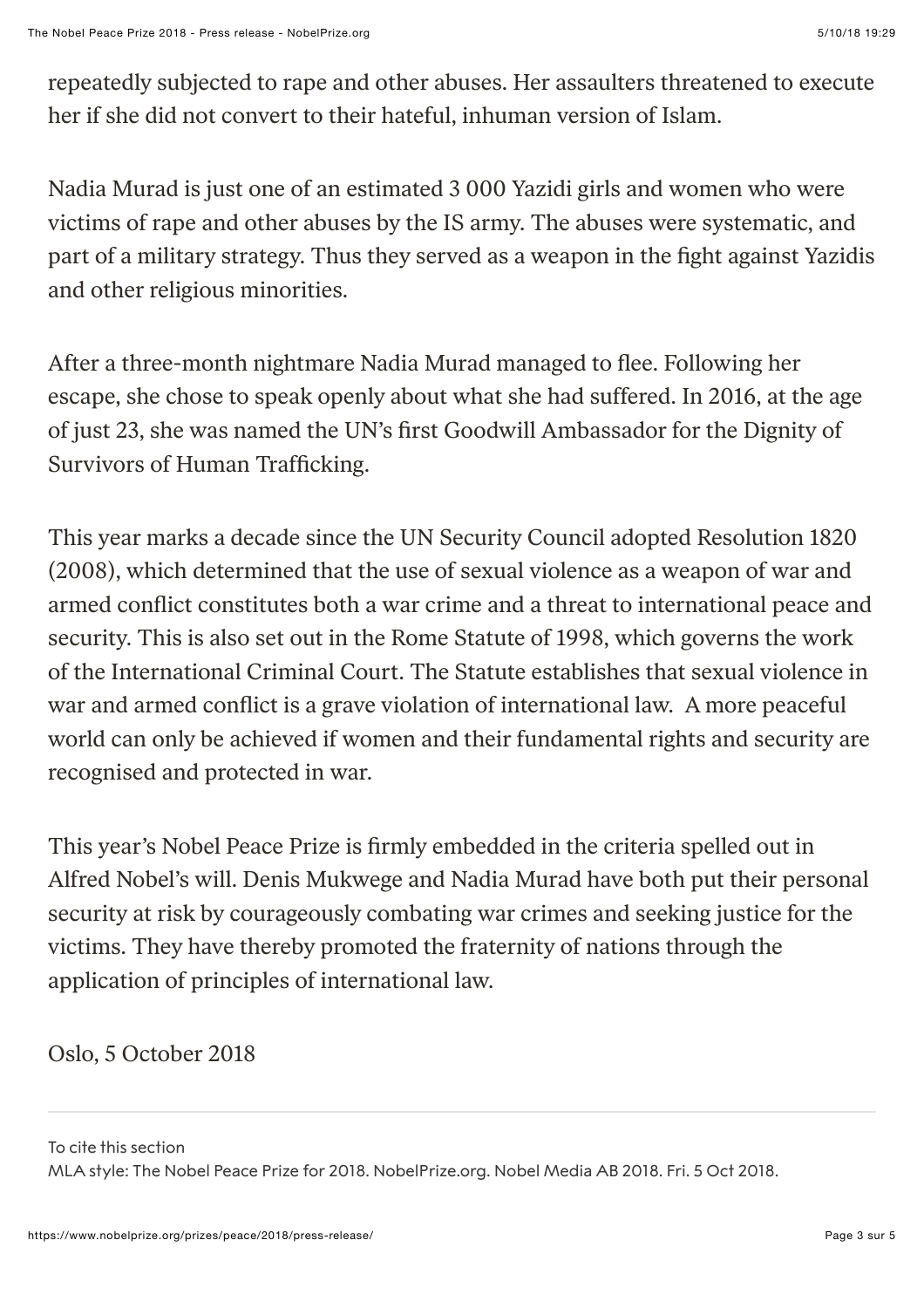repeatedly subjected to rape and other abuses. Her assaulters threatened to execute her if she did not convert to their hateful, inhuman version of Islam.

Nadia Murad is just one of an estimated 3 000 Yazidi girls and women who were victims of rape and other abuses by the IS army. The abuses were systematic, and part of a military strategy. Thus they served as a weapon in the fight against Yazidis and other religious minorities.

After a three-month nightmare Nadia Murad managed to flee. Following her escape, she chose to speak openly about what she had suffered. In 2016, at the age of just 23, she was named the UN's first Goodwill Ambassador for the Dignity of Survivors of Human Trafficking.

This year marks a decade since the UN Security Council adopted Resolution 1820 (2008), which determined that the use of sexual violence as a weapon of war and armed conflict constitutes both a war crime and a threat to international peace and security. This is also set out in the Rome Statute of 1998, which governs the work of the International Criminal Court. The Statute establishes that sexual violence in war and armed conflict is a grave violation of international law. A more peaceful world can only be achieved if women and their fundamental rights and security are recognised and protected in war.

This year's Nobel Peace Prize is firmly embedded in the criteria spelled out in Alfred Nobel's will. Denis Mukwege and Nadia Murad have both put their personal security at risk by courageously combating war crimes and seeking justice for the victims. They have thereby promoted the fraternity of nations through the application of principles of international law.

Oslo, 5 October 2018

To cite this section

MLA style: The Nobel Peace Prize for 2018. NobelPrize.org. Nobel Media AB 2018. Fri. 5 Oct 2018.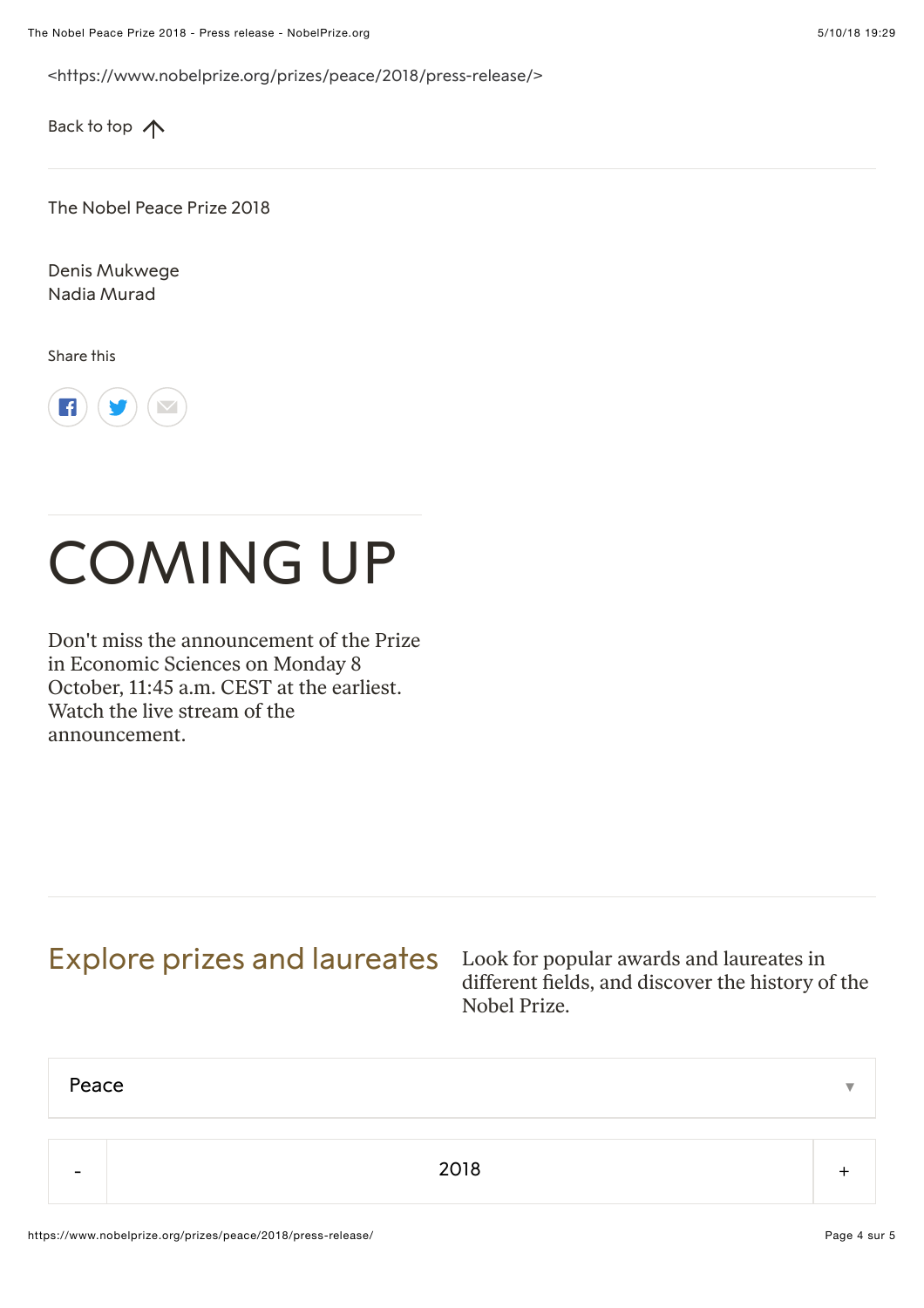<https://www.nobelprize.org/prizes/peace/2018/press-release/>

[Back to top](#page-0-0)  $\bigwedge$ 

[The Nobel Peace Prize 2018](https://www.nobelprize.org/prizes/peace/2018/summary/)

[Denis Mukwege](https://www.nobelprize.org/prizes/peace/2018/mukwege/facts/) [Nadia Murad](https://www.nobelprize.org/prizes/peace/2018/murad/facts/)

Share this



# [COMING UP](https://www.nobelprize.org/)

Don't miss the announcement of the Prize in Economic Sciences on Monday 8 October, 11:45 a.m. CEST at the earliest. Watch the live stream of the announcement.

#### Explore prizes and laureates Look for popular awards and laureates in

different fields, and discover the history of the Nobel Prize.

| Peace                            |  |
|----------------------------------|--|
| 2018<br>$\overline{\phantom{0}}$ |  |